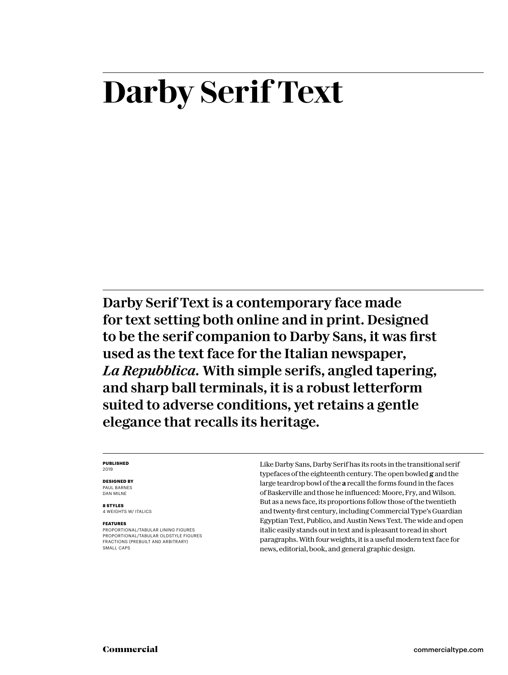# **Darby Serif Text**

Darby Serif Text is a contemporary face made for text setting both online and in print. Designed to be the serif companion to Darby Sans, it was first used as the text face for the Italian newspaper, *La Repubblica.* With simple serifs, angled tapering, and sharp ball terminals, it is a robust letterform suited to adverse conditions, yet retains a gentle elegance that recalls its heritage.

#### **PUBLISHED** 2019

#### **DESIGNED BY** PAUL BARNES

DAN MILNE

**8 STYLES** 4 WEIGHTS W/ ITALICS

#### **FEATURES**

PROPORTIONAL/TABULAR LINING FIGURES PROPORTIONAL/TABULAR OLDSTYLE FIGURES FRACTIONS (PREBUILT AND ARBITRARY) SMALL CAPS

Like Darby Sans, Darby Serif has its roots in the transitional serif typefaces of the eighteenth century. The open bowled **g** and the large teardrop bowl of the **a** recall the forms found in the faces of Baskerville and those he influenced: Moore, Fry, and Wilson. But as a news face, its proportions follow those of the twentieth and twenty-first century, including Commercial Type's Guardian Egyptian Text, Publico, and Austin News Text. The wide and open italic easily stands out in text and is pleasant to read in short paragraphs. With four weights, it is a useful modern text face for news, editorial, book, and general graphic design.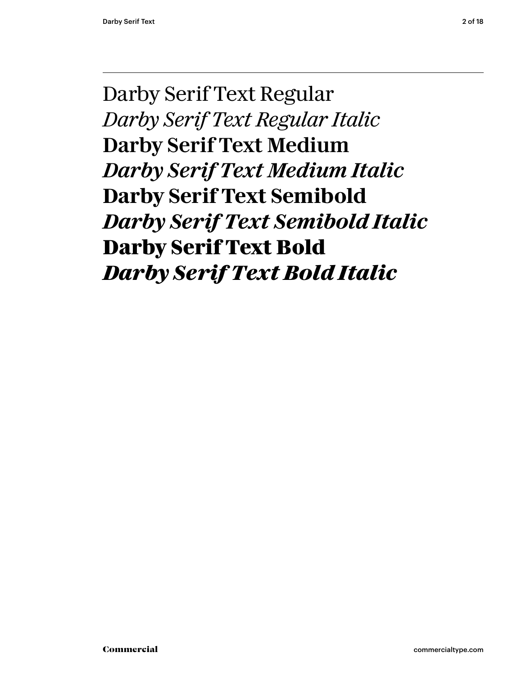Darby Serif Text Regular *Darby Serif Text Regular Italic* Darby Serif Text Medium *Darby Serif Text Medium Italic* **Darby Serif Text Semibold** *Darby Serif Text Semibold Italic* **Darby Serif Text Bold** *Darby Serif Text Bold Italic*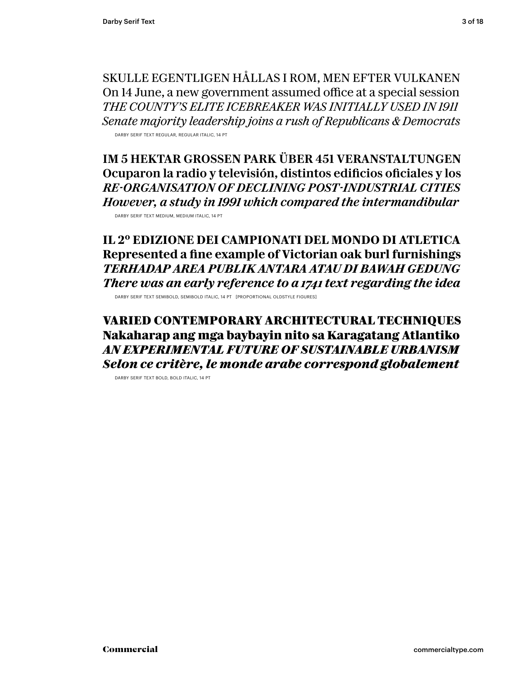SKULLE EGENTLIGEN HÅLLAS I ROM, MEN EFTER VULKANEN On 14 June, a new government assumed office at a special session *THE COUNTY'S ELITE ICEBREAKER WAS INITIALLY USED IN 1911 Senate majority leadership joins a rush of Republicans & Democrats*

DARBY SERIF TEXT REGULAR, REGULAR ITALIC, 14 PT

IM 5 HEKTAR GROSSEN PARK ÜBER 451 VERANSTALTUNGEN Ocuparon la radio y televisión, distintos edificios oficiales y los *RE-ORGANISATION OF DECLINING POST-INDUSTRIAL CITIES However, a study in 1991 which compared the intermandibular* DARBY SERIF TEXT MEDIUM, MEDIUM ITALIC, 14 PT

**IL 2º EDIZIONE DEI CAMPIONATI DEL MONDO DI ATLETICA Represented a fine example of Victorian oak burl furnishings** *TERHADAP AREA PUBLIK ANTARA ATAU DI BAWAH GEDUNG There was an early reference to a 1741 text regarding the idea*

DARBY SERIF TEXT SEMIBOLD, SEMIBOLD ITALIC, 14 PT [PROPORTIONAL OLDSTYLE FIGURES]

**VARIED CONTEMPORARY ARCHITECTURAL TECHNIQUES Nakaharap ang mga baybayin nito sa Karagatang Atlantiko** *AN EXPERIMENTAL FUTURE OF SUSTAINABLE URBANISM Selon ce critère, le monde arabe correspond globalement*

DARBY SERIF TEXT BOLD, BOLD ITALIC, 14 PT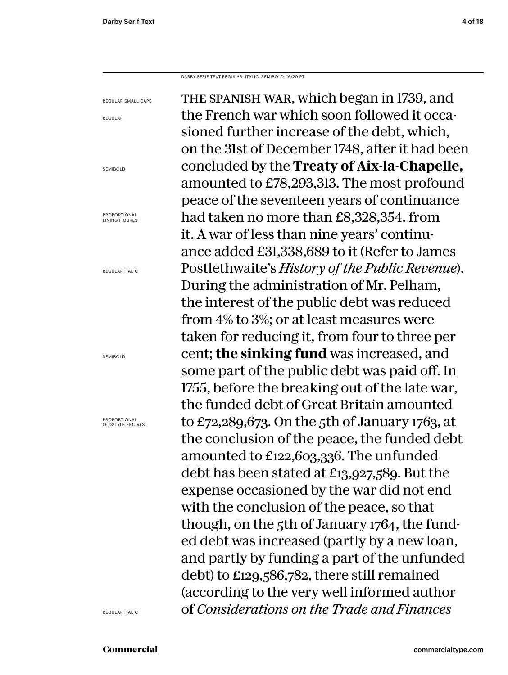DARBY SERIF TEXT REGULAR, ITALIC, SEMIBOLD, 16/20 PT

REGULAR SMALL CAPS REGULAR SEMIBOLD LINING FIGURES the spanish war, which began in 1739, and the French war which soon followed it occasioned further increase of the debt, which, on the 31st of December 1748, after it had been concluded by the **Treaty of Aix-la-Chapelle,**  amounted to £78,293,313. The most profound peace of the seventeen years of continuance had taken no more than £8,328,354. from it. A war of less than nine years' continuance added £31,338,689 to it (Refer to James Postlethwaite's *History of the Public Revenue*). During the administration of Mr. Pelham, the interest of the public debt was reduced from 4% to 3%; or at least measures were taken for reducing it, from four to three per cent; **the sinking fund** was increased, and some part of the public debt was paid off. In 1755, before the breaking out of the late war, the funded debt of Great Britain amounted to £72,289,673. On the 5th of January 1763, at the conclusion of the peace, the funded debt amounted to £122,603,336. The unfunded debt has been stated at £13,927,589. But the expense occasioned by the war did not end with the conclusion of the peace, so that though, on the 5th of January 1764, the funded debt was increased (partly by a new loan, and partly by funding a part of the unfunded debt) to £129,586,782, there still remained (according to the very well informed author of *Considerations on the Trade and Finances* 

PROPORTIONAL

REGULAR ITALIC

SEMIBOLD

PROPORTIONAL OLDSTYLE FIGURES

REGULAR ITALIC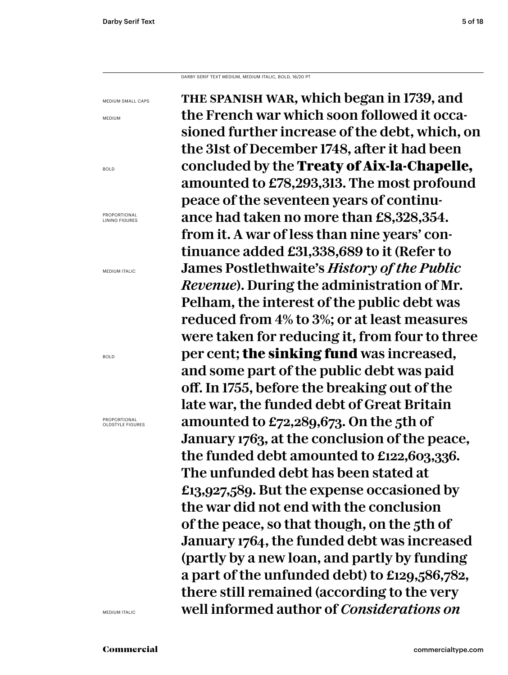DARBY SERIF TEXT MEDIUM, MEDIUM ITALIC, BOLD, 16/20 PT

the spanish war, which began in 1739, and the French war which soon followed it occasioned further increase of the debt, which, on the 31st of December 1748, after it had been concluded by the **Treaty of Aix-la-Chapelle,**  amounted to £78,293,313. The most profound peace of the seventeen years of continuance had taken no more than £8,328,354. from it. A war of less than nine years' continuance added £31,338,689 to it (Refer to James Postlethwaite's *History of the Public Revenue*). During the administration of Mr. Pelham, the interest of the public debt was reduced from 4% to 3%; or at least measures were taken for reducing it, from four to three per cent; **the sinking fund** was increased, and some part of the public debt was paid off. In 1755, before the breaking out of the late war, the funded debt of Great Britain amounted to £72,289,673. On the 5th of January 1763, at the conclusion of the peace, the funded debt amounted to £122,603,336. The unfunded debt has been stated at £13,927,589. But the expense occasioned by the war did not end with the conclusion of the peace, so that though, on the 5th of January 1764, the funded debt was increased (partly by a new loan, and partly by funding a part of the unfunded debt) to £129,586,782, there still remained (according to the very well informed author of *Considerations on* 

MEDIUM

MEDIUM SMALL CAPS

BOLD

PROPORTIONAL LINING FIGURES

MEDIUM ITALIC

BOLD

PROPORTIONAL OLDSTYLE FIGURES

MEDIUM ITALIC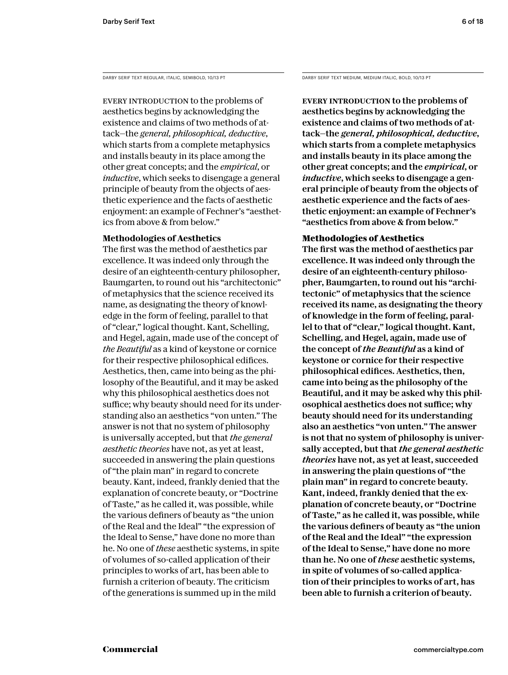EVERY INTRODUCTION to the problems of aesthetics begins by acknowledging the existence and claims of two methods of attack—the *general, philosophical, deductive*, which starts from a complete metaphysics and installs beauty in its place among the other great concepts; and the *empirical*, or *inductive*, which seeks to disengage a general principle of beauty from the objects of aesthetic experience and the facts of aesthetic enjoyment: an example of Fechner's "aesthetics from above & from below."

# **Methodologies of Aesthetics**

The first was the method of aesthetics par excellence. It was indeed only through the desire of an eighteenth-century philosopher, Baumgarten, to round out his "architectonic" of metaphysics that the science received its name, as designating the theory of knowledge in the form of feeling, parallel to that of "clear," logical thought. Kant, Schelling, and Hegel, again, made use of the concept of *the Beautiful* as a kind of keystone or cornice for their respective philosophical edifices. Aesthetics, then, came into being as the philosophy of the Beautiful, and it may be asked why this philosophical aesthetics does not suffice; why beauty should need for its understanding also an aesthetics "von unten." The answer is not that no system of philosophy is universally accepted, but that *the general aesthetic theories* have not, as yet at least, succeeded in answering the plain questions of "the plain man" in regard to concrete beauty. Kant, indeed, frankly denied that the explanation of concrete beauty, or "Doctrine of Taste," as he called it, was possible, while the various definers of beauty as "the union of the Real and the Ideal" "the expression of the Ideal to Sense," have done no more than he. No one of *these* aesthetic systems, in spite of volumes of so-called application of their principles to works of art, has been able to furnish a criterion of beauty. The criticism of the generations is summed up in the mild

DARBY SERIF TEXT REGULAR, ITALIC, SEMIBOLD, 10/13 PT DARBY SERIF TEXT MEDIUM, MEDIUM ITALIC, BOLD, 10/13 PT

EVERY INTRODUCTION to the problems of aesthetics begins by acknowledging the existence and claims of two methods of attack—the *general, philosophical, deductive*, which starts from a complete metaphysics and installs beauty in its place among the other great concepts; and the *empirical*, or *inductive*, which seeks to disengage a general principle of beauty from the objects of aesthetic experience and the facts of aesthetic enjoyment: an example of Fechner's "aesthetics from above & from below."

# **Methodologies of Aesthetics**

The first was the method of aesthetics par excellence. It was indeed only through the desire of an eighteenth-century philosopher, Baumgarten, to round out his "architectonic" of metaphysics that the science received its name, as designating the theory of knowledge in the form of feeling, parallel to that of "clear," logical thought. Kant, Schelling, and Hegel, again, made use of the concept of *the Beautiful* as a kind of keystone or cornice for their respective philosophical edifices. Aesthetics, then, came into being as the philosophy of the Beautiful, and it may be asked why this philosophical aesthetics does not suffice; why beauty should need for its understanding also an aesthetics "von unten." The answer is not that no system of philosophy is universally accepted, but that *the general aesthetic theories* have not, as yet at least, succeeded in answering the plain questions of "the plain man" in regard to concrete beauty. Kant, indeed, frankly denied that the explanation of concrete beauty, or "Doctrine of Taste," as he called it, was possible, while the various definers of beauty as "the union of the Real and the Ideal" "the expression of the Ideal to Sense," have done no more than he. No one of *these* aesthetic systems, in spite of volumes of so-called application of their principles to works of art, has been able to furnish a criterion of beauty.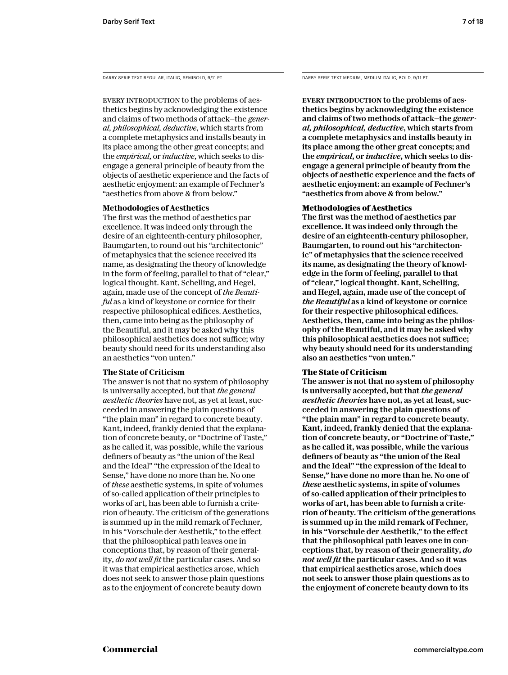EVERY INTRODUCTION to the problems of aesthetics begins by acknowledging the existence and claims of two methods of attack—the *general, philosophical, deductive*, which starts from a complete metaphysics and installs beauty in its place among the other great concepts; and the *empirical*, or *inductive*, which seeks to disengage a general principle of beauty from the objects of aesthetic experience and the facts of aesthetic enjoyment: an example of Fechner's "aesthetics from above & from below."

# **Methodologies of Aesthetics**

The first was the method of aesthetics par excellence. It was indeed only through the desire of an eighteenth-century philosopher, Baumgarten, to round out his "architectonic" of metaphysics that the science received its name, as designating the theory of knowledge in the form of feeling, parallel to that of "clear," logical thought. Kant, Schelling, and Hegel, again, made use of the concept of *the Beautiful* as a kind of keystone or cornice for their respective philosophical edifices. Aesthetics, then, came into being as the philosophy of the Beautiful, and it may be asked why this philosophical aesthetics does not suffice; why beauty should need for its understanding also an aesthetics "von unten."

# **The State of Criticism**

The answer is not that no system of philosophy is universally accepted, but that *the general aesthetic theories* have not, as yet at least, succeeded in answering the plain questions of "the plain man" in regard to concrete beauty. Kant, indeed, frankly denied that the explanation of concrete beauty, or "Doctrine of Taste," as he called it, was possible, while the various definers of beauty as "the union of the Real and the Ideal" "the expression of the Ideal to Sense," have done no more than he. No one of *these* aesthetic systems, in spite of volumes of so-called application of their principles to works of art, has been able to furnish a criterion of beauty. The criticism of the generations is summed up in the mild remark of Fechner, in his "Vorschule der Aesthetik," to the effect that the philosophical path leaves one in conceptions that, by reason of their generality, *do not well fit* the particular cases. And so it was that empirical aesthetics arose, which does not seek to answer those plain questions as to the enjoyment of concrete beauty down

DARBY SERIF TEXT REGULAR, ITALIC, SEMIBOLD, 9/11 PT DARBY SERIF TEXT MEDIUM, MEDIUM ITALIC, BOLD, 9/11 PT

Every introduction to the problems of aesthetics begins by acknowledging the existence and claims of two methods of attack—the *general, philosophical, deductive*, which starts from a complete metaphysics and installs beauty in its place among the other great concepts; and the *empirical*, or *inductive*, which seeks to disengage a general principle of beauty from the objects of aesthetic experience and the facts of aesthetic enjoyment: an example of Fechner's "aesthetics from above & from below."

# **Methodologies of Aesthetics**

The first was the method of aesthetics par excellence. It was indeed only through the desire of an eighteenth-century philosopher, Baumgarten, to round out his "architectonic" of metaphysics that the science received its name, as designating the theory of knowledge in the form of feeling, parallel to that of "clear," logical thought. Kant, Schelling, and Hegel, again, made use of the concept of *the Beautiful* as a kind of keystone or cornice for their respective philosophical edifices. Aesthetics, then, came into being as the philosophy of the Beautiful, and it may be asked why this philosophical aesthetics does not suffice; why beauty should need for its understanding also an aesthetics "von unten."

# **The State of Criticism**

The answer is not that no system of philosophy is universally accepted, but that *the general aesthetic theories* have not, as yet at least, succeeded in answering the plain questions of "the plain man" in regard to concrete beauty. Kant, indeed, frankly denied that the explanation of concrete beauty, or "Doctrine of Taste," as he called it, was possible, while the various definers of beauty as "the union of the Real and the Ideal" "the expression of the Ideal to Sense," have done no more than he. No one of *these* aesthetic systems, in spite of volumes of so-called application of their principles to works of art, has been able to furnish a criterion of beauty. The criticism of the generations is summed up in the mild remark of Fechner, in his "Vorschule der Aesthetik," to the effect that the philosophical path leaves one in conceptions that, by reason of their generality, *do not well fit* the particular cases. And so it was that empirical aesthetics arose, which does not seek to answer those plain questions as to the enjoyment of concrete beauty down to its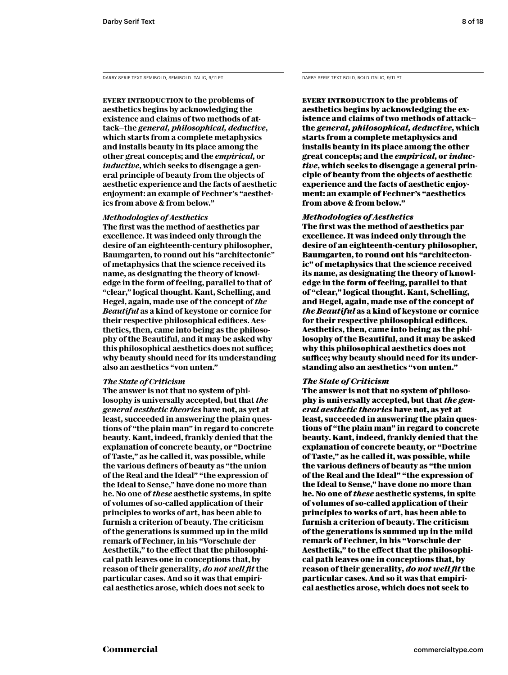DARBY SERIF TEXT SEMIBOLD, SEMIBOLD ITALIC, 9/11 PT DARBY SERIF TEXT BOLD, BOLD ITALIC, 9/11 PT

**Every introduction to the problems of aesthetics begins by acknowledging the existence and claims of two methods of attack—the** *general, philosophical, deductive***, which starts from a complete metaphysics and installs beauty in its place among the other great concepts; and the** *empirical***, or**  *inductive***, which seeks to disengage a general principle of beauty from the objects of aesthetic experience and the facts of aesthetic enjoyment: an example of Fechner's "aesthetics from above & from below."** 

# *Methodologies of Aesthetics*

**The first was the method of aesthetics par excellence. It was indeed only through the desire of an eighteenth-century philosopher, Baumgarten, to round out his "architectonic" of metaphysics that the science received its name, as designating the theory of knowledge in the form of feeling, parallel to that of "clear," logical thought. Kant, Schelling, and Hegel, again, made use of the concept of** *the Beautiful* **as a kind of keystone or cornice for their respective philosophical edifices. Aesthetics, then, came into being as the philosophy of the Beautiful, and it may be asked why this philosophical aesthetics does not suffice; why beauty should need for its understanding also an aesthetics "von unten."** 

#### *The State of Criticism*

**The answer is not that no system of philosophy is universally accepted, but that** *the general aesthetic theories* **have not, as yet at least, succeeded in answering the plain questions of "the plain man" in regard to concrete beauty. Kant, indeed, frankly denied that the explanation of concrete beauty, or "Doctrine of Taste," as he called it, was possible, while the various definers of beauty as "the union of the Real and the Ideal" "the expression of the Ideal to Sense," have done no more than he. No one of** *these* **aesthetic systems, in spite of volumes of so-called application of their principles to works of art, has been able to furnish a criterion of beauty. The criticism of the generations is summed up in the mild remark of Fechner, in his "Vorschule der Aesthetik," to the effect that the philosophical path leaves one in conceptions that, by reason of their generality,** *do not well fit* **the particular cases. And so it was that empirical aesthetics arose, which does not seek to** 

**Every introduction to the problems of aesthetics begins by acknowledging the existence and claims of two methods of attack the** *general, philosophical, deductive***, which starts from a complete metaphysics and installs beauty in its place among the other great concepts; and the** *empirical***, or** *inductive***, which seeks to disengage a general principle of beauty from the objects of aesthetic experience and the facts of aesthetic enjoyment: an example of Fechner's "aesthetics from above & from below."** 

# *Methodologies of Aesthetics*

**The first was the method of aesthetics par excellence. It was indeed only through the desire of an eighteenth-century philosopher, Baumgarten, to round out his "architectonic" of metaphysics that the science received its name, as designating the theory of knowledge in the form of feeling, parallel to that of "clear," logical thought. Kant, Schelling, and Hegel, again, made use of the concept of**  *the Beautiful* **as a kind of keystone or cornice for their respective philosophical edifices. Aesthetics, then, came into being as the philosophy of the Beautiful, and it may be asked why this philosophical aesthetics does not suffice; why beauty should need for its understanding also an aesthetics "von unten."** 

#### *The State of Criticism*

**The answer is not that no system of philosophy is universally accepted, but that** *the general aesthetic theories* **have not, as yet at least, succeeded in answering the plain questions of "the plain man" in regard to concrete beauty. Kant, indeed, frankly denied that the explanation of concrete beauty, or "Doctrine of Taste," as he called it, was possible, while the various definers of beauty as "the union of the Real and the Ideal" "the expression of the Ideal to Sense," have done no more than he. No one of** *these* **aesthetic systems, in spite of volumes of so-called application of their principles to works of art, has been able to furnish a criterion of beauty. The criticism of the generations is summed up in the mild remark of Fechner, in his "Vorschule der Aesthetik," to the effect that the philosophical path leaves one in conceptions that, by reason of their generality,** *do not well fit* **the particular cases. And so it was that empirical aesthetics arose, which does not seek to**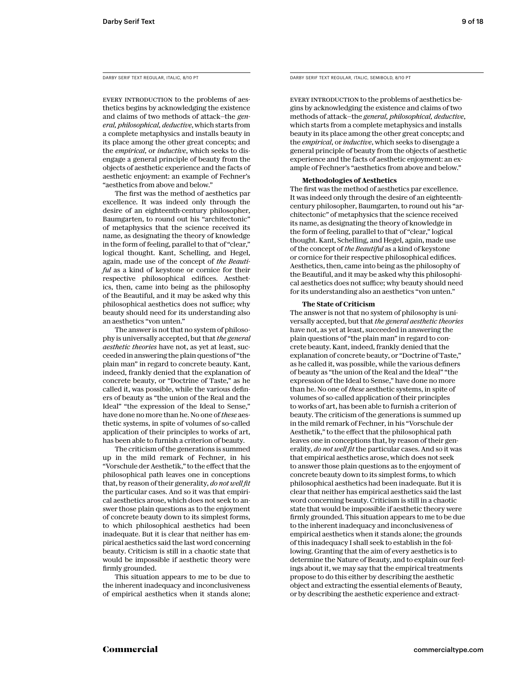DARBY SERIF TEXT REGULAR, ITALIC, 8/10 PT

EVERY INTRODUCTION to the problems of aesthetics begins by acknowledging the existence and claims of two methods of attack—the *general, philosophical, deductive*, which starts from a complete metaphysics and installs beauty in its place among the other great concepts; and the *empirical*, or *inductive*, which seeks to disengage a general principle of beauty from the objects of aesthetic experience and the facts of aesthetic enjoyment: an example of Fechner's "aesthetics from above and below."

The first was the method of aesthetics par excellence. It was indeed only through the desire of an eighteenth-century philosopher, Baumgarten, to round out his "architectonic" of metaphysics that the science received its name, as designating the theory of knowledge in the form of feeling, parallel to that of "clear," logical thought. Kant, Schelling, and Hegel, again, made use of the concept of *the Beautiful* as a kind of keystone or cornice for their respective philosophical edifices. Aesthetics, then, came into being as the philosophy of the Beautiful, and it may be asked why this philosophical aesthetics does not suffice; why beauty should need for its understanding also an aesthetics "von unten."

The answer is not that no system of philosophy is universally accepted, but that *the general aesthetic theories* have not, as yet at least, succeeded in answering the plain questions of "the plain man" in regard to concrete beauty. Kant, indeed, frankly denied that the explanation of concrete beauty, or "Doctrine of Taste," as he called it, was possible, while the various definers of beauty as "the union of the Real and the Ideal" "the expression of the Ideal to Sense," have done no more than he. No one of *these* aesthetic systems, in spite of volumes of so-called application of their principles to works of art, has been able to furnish a criterion of beauty.

The criticism of the generations is summed up in the mild remark of Fechner, in his "Vorschule der Aesthetik," to the effect that the philosophical path leaves one in conceptions that, by reason of their generality, *do not well fit*  the particular cases. And so it was that empirical aesthetics arose, which does not seek to answer those plain questions as to the enjoyment of concrete beauty down to its simplest forms, to which philosophical aesthetics had been inadequate. But it is clear that neither has empirical aesthetics said the last word concerning beauty. Criticism is still in a chaotic state that would be impossible if aesthetic theory were firmly grounded.

This situation appears to me to be due to the inherent inadequacy and inconclusiveness of empirical aesthetics when it stands alone; DARBY SERIF TEXT REGULAR, ITALIC, SEMIBOLD, 8/10 PT

EVERY INTRODUCTION to the problems of aesthetics begins by acknowledging the existence and claims of two methods of attack—the *general, philosophical, deductive*, which starts from a complete metaphysics and installs beauty in its place among the other great concepts; and the *empirical*, or *inductive*, which seeks to disengage a general principle of beauty from the objects of aesthetic experience and the facts of aesthetic enjoyment: an example of Fechner's "aesthetics from above and below."

#### **Methodologies of Aesthetics**

The first was the method of aesthetics par excellence. It was indeed only through the desire of an eighteenthcentury philosopher, Baumgarten, to round out his "architectonic" of metaphysics that the science received its name, as designating the theory of knowledge in the form of feeling, parallel to that of "clear," logical thought. Kant, Schelling, and Hegel, again, made use of the concept of *the Beautiful* as a kind of keystone or cornice for their respective philosophical edifices. Aesthetics, then, came into being as the philosophy of the Beautiful, and it may be asked why this philosophical aesthetics does not suffice; why beauty should need for its understanding also an aesthetics "von unten."

#### **The State of Criticism**

The answer is not that no system of philosophy is universally accepted, but that *the general aesthetic theories*  have not, as yet at least, succeeded in answering the plain questions of "the plain man" in regard to concrete beauty. Kant, indeed, frankly denied that the explanation of concrete beauty, or "Doctrine of Taste," as he called it, was possible, while the various definers of beauty as "the union of the Real and the Ideal" "the expression of the Ideal to Sense," have done no more than he. No one of *these* aesthetic systems, in spite of volumes of so-called application of their principles to works of art, has been able to furnish a criterion of beauty. The criticism of the generations is summed up in the mild remark of Fechner, in his "Vorschule der Aesthetik," to the effect that the philosophical path leaves one in conceptions that, by reason of their generality, *do not well fit* the particular cases. And so it was that empirical aesthetics arose, which does not seek to answer those plain questions as to the enjoyment of concrete beauty down to its simplest forms, to which philosophical aesthetics had been inadequate. But it is clear that neither has empirical aesthetics said the last word concerning beauty. Criticism is still in a chaotic state that would be impossible if aesthetic theory were firmly grounded. This situation appears to me to be due to the inherent inadequacy and inconclusiveness of empirical aesthetics when it stands alone; the grounds of this inadequacy I shall seek to establish in the following. Granting that the aim of every aesthetics is to determine the Nature of Beauty, and to explain our feelings about it, we may say that the empirical treatments propose to do this either by describing the aesthetic object and extracting the essential elements of Beauty, or by describing the aesthetic experience and extract-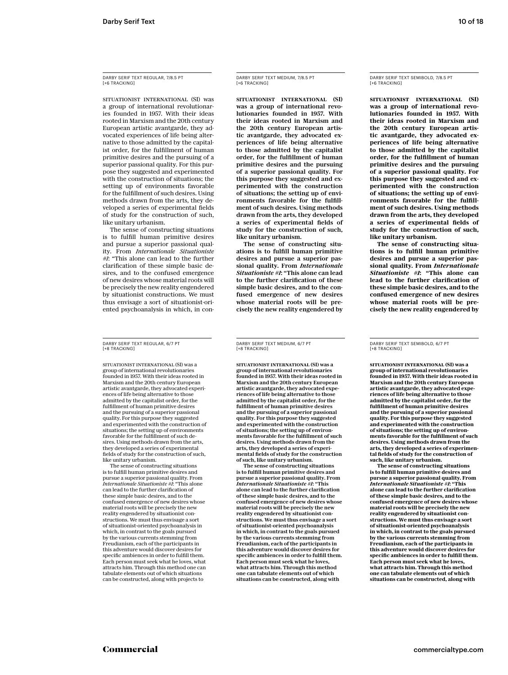DARBY SERIF TEXT REGULAR, 7/8.5 PT [+6 TRACKING]

SITUATIONIST INTERNATIONAL (SI) was a group of international revolutionaries founded in 1957. With their ideas rooted in Marxism and the 20th century European artistic avantgarde, they advocated experiences of life being alternative to those admitted by the capitalist order, for the fulfillment of human primitive desires and the pursuing of a superior passional quality. For this purpose they suggested and experimented with the construction of situations; the setting up of environments favorable for the fulfillment of such desires. Using methods drawn from the arts, they developed a series of experimental fields of study for the construction of such, like unitary urbanism.

The sense of constructing situations is to fulfill human primitive desires and pursue a superior passional quality. From *Internationale Situationiste #1*: "This alone can lead to the further clarification of these simple basic desires, and to the confused emergence of new desires whose material roots will be precisely the new reality engendered by situationist constructions. We must thus envisage a sort of situationist-oriented psychoanalysis in which, in con-

DARBY SERIF TEXT REGULAR, 6/7 PT [+8 TRACKING]

SITUATIONIST INTERNATIONAL (SI) was a group of international revolutionaries founded in 1957. With their ideas rooted in Marxism and the 20th century European artistic avantgarde, they advocated experiences of life being alternative to those admitted by the capitalist order, for the fulfillment of human primitive desires and the pursuing of a superior passional quality. For this purpose they suggested and experimented with the construction of situations; the setting up of environments favorable for the fulfillment of such desires. Using methods drawn from the arts, they developed a series of experimental fields of study for the construction of such, like unitary urbanism.

The sense of constructing situations is to fulfill human primitive desires and pursue a superior passional quality. From *Internationale Situationiste #1*: "This alone can lead to the further clarification of these simple basic desires, and to the confused emergence of new desires whose material roots will be precisely the new reality engendered by situationist constructions. We must thus envisage a sort of situationist-oriented psychoanalysis in which, in contrast to the goals pursued by the various currents stemming from Freudianism, each of the participants in this adventure would discover desires for specific ambiences in order to fulfill them. Each person must seek what he loves, what attracts him. Through this method one can tabulate elements out of which situations can be constructed, along with projects to

DARBY SERIF TEXT MEDIUM, 7/8.5 PT F<sub>+6</sub> TRACKING]

SITUATIONIST INTERNATIONAL (SI) was a group of international revolutionaries founded in 1957. With their ideas rooted in Marxism and the 20th century European artistic avantgarde, they advocated experiences of life being alternative to those admitted by the capitalist order, for the fulfillment of human primitive desires and the pursuing of a superior passional quality. For this purpose they suggested and experimented with the construction of situations; the setting up of environments favorable for the fulfillment of such desires. Using methods drawn from the arts, they developed a series of experimental fields of study for the construction of such, like unitary urbanism.

The sense of constructing situations is to fulfill human primitive desires and pursue a superior passional quality. From *Internationale Situationiste #1*: "This alone can lead to the further clarification of these simple basic desires, and to the confused emergence of new desires whose material roots will be precisely the new reality engendered by

DARBY SERIF TEXT MEDIUM, 6/7 PT [+8 TRACKING]

SITUATIONIST INTERNATIONAL (SI) was a group of international revolutionaries founded in 1957. With their ideas rooted in Marxism and the 20th century European artistic avantgarde, they advocated experiences of life being alternative to those admitted by the capitalist order, for the fulfillment of human primitive desires and the pursuing of a superior passional quality. For this purpose they suggested and experimented with the construction of situations; the setting up of environments favorable for the fulfillment of such desires. Using methods drawn from the arts, they developed a series of experimental fields of study for the construction of such, like unitary urbanism.

The sense of constructing situations is to fulfill human primitive desires and pursue a superior passional quality. From *Internationale Situationiste #1*: "This alone can lead to the further clarification of these simple basic desires, and to the confused emergence of new desires whose material roots will be precisely the new reality engendered by situationist constructions. We must thus envisage a sort of situationist-oriented psychoanalysis in which, in contrast to the goals pursued by the various currents stemming from Freudianism, each of the participants in this adventure would discover desires for specific ambiences in order to fulfill them. Each person must seek what he loves, what attracts him. Through this method one can tabulate elements out of which situations can be constructed, along with

DARBY SERIF TEXT SEMIBOLD, 7/8.5 PT F<sub>+6</sub> TRACKING]

**SITUATIONIST INTERNATIONAL (SI) was a group of international revolutionaries founded in 1957. With their ideas rooted in Marxism and the 20th century European artistic avantgarde, they advocated experiences of life being alternative to those admitted by the capitalist order, for the fulfillment of human primitive desires and the pursuing of a superior passional quality. For this purpose they suggested and experimented with the construction of situations; the setting up of environments favorable for the fulfillment of such desires. Using methods drawn from the arts, they developed a series of experimental fields of study for the construction of such, like unitary urbanism.**

**The sense of constructing situations is to fulfill human primitive desires and pursue a superior passional quality. From** *Internationale Situationiste #1***: "This alone can lead to the further clarification of these simple basic desires, and to the confused emergence of new desires whose material roots will be precisely the new reality engendered by** 

DARBY SERIF TEXT SEMIBOLD, 6/7 PT [+8 TRACKING]

**SITUATIONIST INTERNATIONAL (SI) was a group of international revolutionaries founded in 1957. With their ideas rooted in Marxism and the 20th century European artistic avantgarde, they advocated experiences of life being alternative to those admitted by the capitalist order, for the fulfillment of human primitive desires and the pursuing of a superior passional quality. For this purpose they suggested and experimented with the construction of situations; the setting up of environments favorable for the fulfillment of such desires. Using methods drawn from the arts, they developed a series of experimental fields of study for the construction of such, like unitary urbanism.**

**The sense of constructing situations is to fulfill human primitive desires and pursue a superior passional quality. From**  *Internationale Situationiste #1***: "This alone can lead to the further clarification of these simple basic desires, and to the confused emergence of new desires whose material roots will be precisely the new reality engendered by situationist constructions. We must thus envisage a sort of situationist-oriented psychoanalysis in which, in contrast to the goals pursued by the various currents stemming from Freudianism, each of the participants in this adventure would discover desires for specific ambiences in order to fulfill them. Each person must seek what he loves, what attracts him. Through this method one can tabulate elements out of which situations can be constructed, along with**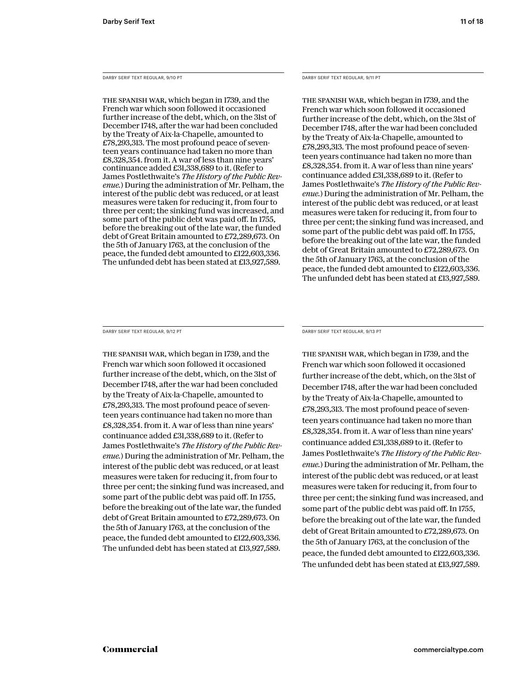DARBY SERIF TEXT REGULAR, 9/10 PT

The Spanish War, which began in 1739, and the French war which soon followed it occasioned further increase of the debt, which, on the 31st of December 1748, after the war had been concluded by the Treaty of Aix-la-Chapelle, amounted to £78,293,313. The most profound peace of seventeen years continuance had taken no more than £8,328,354. from it. A war of less than nine years' continuance added £31,338,689 to it. (Refer to James Postlethwaite's *The History of the Public Revenue.*) During the administration of Mr. Pelham, the interest of the public debt was reduced, or at least measures were taken for reducing it, from four to three per cent; the sinking fund was increased, and some part of the public debt was paid off. In 1755, before the breaking out of the late war, the funded debt of Great Britain amounted to £72,289,673. On the 5th of January 1763, at the conclusion of the peace, the funded debt amounted to £122,603,336. The unfunded debt has been stated at £13,927,589.

DARBY SERIF TEXT REGULAR, 9/11 PT

The Spanish War, which began in 1739, and the French war which soon followed it occasioned further increase of the debt, which, on the 31st of December 1748, after the war had been concluded by the Treaty of Aix-la-Chapelle, amounted to £78,293,313. The most profound peace of seventeen years continuance had taken no more than £8,328,354. from it. A war of less than nine years' continuance added £31,338,689 to it. (Refer to James Postlethwaite's *The History of the Public Revenue.*) During the administration of Mr. Pelham, the interest of the public debt was reduced, or at least measures were taken for reducing it, from four to three per cent; the sinking fund was increased, and some part of the public debt was paid off. In 1755, before the breaking out of the late war, the funded debt of Great Britain amounted to £72,289,673. On the 5th of January 1763, at the conclusion of the peace, the funded debt amounted to £122,603,336. The unfunded debt has been stated at £13,927,589.

DARBY SERIF TEXT REGULAR, 9/12 PT

The Spanish War, which began in 1739, and the French war which soon followed it occasioned further increase of the debt, which, on the 31st of December 1748, after the war had been concluded by the Treaty of Aix-la-Chapelle, amounted to £78,293,313. The most profound peace of seventeen years continuance had taken no more than £8,328,354. from it. A war of less than nine years' continuance added £31,338,689 to it. (Refer to James Postlethwaite's *The History of the Public Revenue.*) During the administration of Mr. Pelham, the interest of the public debt was reduced, or at least measures were taken for reducing it, from four to three per cent; the sinking fund was increased, and some part of the public debt was paid off. In 1755, before the breaking out of the late war, the funded debt of Great Britain amounted to £72,289,673. On the 5th of January 1763, at the conclusion of the peace, the funded debt amounted to £122,603,336. The unfunded debt has been stated at £13,927,589.

DARBY SERIF TEXT REGULAR, 9/13 PT

The Spanish War, which began in 1739, and the French war which soon followed it occasioned further increase of the debt, which, on the 31st of December 1748, after the war had been concluded by the Treaty of Aix-la-Chapelle, amounted to £78,293,313. The most profound peace of seventeen years continuance had taken no more than £8,328,354. from it. A war of less than nine years' continuance added £31,338,689 to it. (Refer to James Postlethwaite's *The History of the Public Revenue.*) During the administration of Mr. Pelham, the interest of the public debt was reduced, or at least measures were taken for reducing it, from four to three per cent; the sinking fund was increased, and some part of the public debt was paid off. In 1755, before the breaking out of the late war, the funded debt of Great Britain amounted to £72,289,673. On the 5th of January 1763, at the conclusion of the peace, the funded debt amounted to £122,603,336. The unfunded debt has been stated at £13,927,589.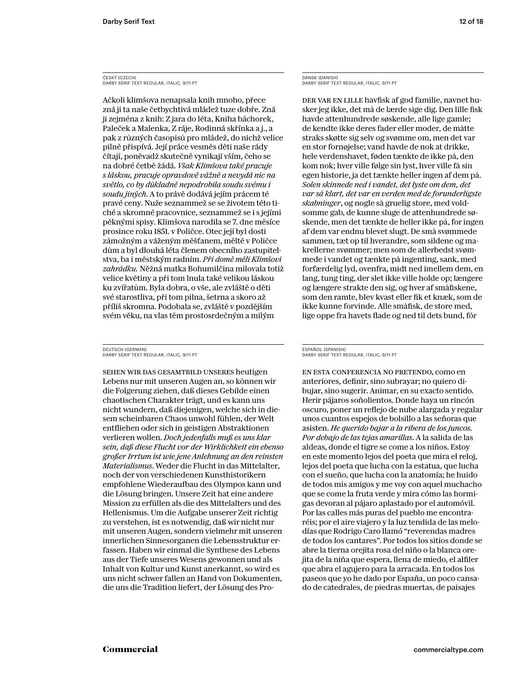#### ČESKÝ (CZECH) DARBY SERIF TEXT REGULAR, ITALIC, 9/11 PT

Ačkoli klimšova nenapsala knih mnoho, přece zná ji ta naše četbychtivá mládež tuze dobře. Zná ji zejména z knih: Z jara do léta, Kniha báchorek, Paleček a Malenka, Z ráje, Rodinná skřínka a j., a pak z různých časopisů pro mládež, do nichž velice pilně přispívá. Její práce vesměs děti naše rády čítají, poněvadž skutečně vynikají vším, čeho se na dobré četbě žádá. *Však Klimšova také pracuje s láskou, pracuje opravdově vážně a nevydá nic na světlo, co by důkladně nepodrobila soudu svému i soudu jiných*. A to právě dodává jejím prácem té pravé ceny. Nuže seznammež se se životem této tiché a skromné pracovnice, seznammež se i s jejími pěknými spisy. Klimšova narodila se 7. dne měsíce prosince roku 1851. v Poličce. Otec její byl dosti zámožným a váženým měšťanem, měltě v Poličce dům a byl dlouhá léta členem obecního zastupitelstva, ba i městským radním. *Při domě měli Klimšovi zahrádku.* Něžná matka Bohumilčina milovala totiž velice květiny a při tom lnula také velikou láskou ku zvířatům. Byla dobra, o vše, ale zvláště o děti své starostliva, při tom pilna, šetrna a skoro až příliš skromna. Podobala se, zvláště v pozdějším svém věku, na vlas těm prostosrdečným a milým

DEUTSCH (GERMAN) DARBY SERIF TEXT REGULAR, ITALIC, 9/11 PT

Sehen wir das Gesamtbild unseres heutigen Lebens nur mit unseren Augen an, so können wir die Folgerung ziehen, daß dieses Gebilde einen chaotischen Charakter trägt, und es kann uns nicht wundern, daß diejenigen, welche sich in diesem scheinbaren Chaos unwohl fühlen, der Welt entfliehen oder sich in geistigen Abstraktionen verlieren wollen. *Doch jedenfalls muß es uns klar sein, daß diese Flucht vor der Wirklichkeit ein ebenso großer Irrtum ist wie jene Anlehnung an den reinsten Materialismus*. Weder die Flucht in das Mittelalter, noch der von verschiedenen Kunsthistorikern empfohlene Wiederaufbau des Olympos kann und die Lösung bringen. Unsere Zeit hat eine andere Mission zu erfüllen als die des Mittelalters und des Hellenismus. Um die Aufgabe unserer Zeit richtig zu verstehen, ist es notwendig, daß wir nicht nur mit unseren Augen, sondern vielmehr mit unseren innerlichen Sinnesorganen die Lebensstruktur erfassen. Haben wir einmal die Synthese des Lebens aus der Tiefe unseres Wesens gewonnen und als Inhalt von Kultur und Kunst anerkannt, so wird es uns nicht schwer fallen an Hand von Dokumenten, die uns die Tradition liefert, der Lösung des ProDANSK (DANISH) DARBY SERIF TEXT REGULAR, ITALIC, 9/11 PT

Der var en lille havfisk af god familie, navnet husker jeg ikke, det må de lærde sige dig. Den lille fisk havde attenhundrede søskende, alle lige gamle; de kendte ikke deres fader eller moder, de måtte straks skøtte sig selv og svømme om, men det var en stor fornøjelse; vand havde de nok at drikke, hele verdenshavet, føden tænkte de ikke på, den kom nok; hver ville følge sin lyst, hver ville få sin egen historie, ja det tænkte heller ingen af dem på. *Solen skinnede ned i vandet, det lyste om dem, det var så klart, det var en verden med de forunderligste skabninger*, og nogle så gruelig store, med voldsomme gab, de kunne sluge de attenhundrede søskende, men det tænkte de heller ikke på, for ingen af dem var endnu blevet slugt. De små svømmede sammen, tæt op til hverandre, som sildene og makrellerne svømmer; men som de allerbedst svømmede i vandet og tænkte på ingenting, sank, med forfærdelig lyd, ovenfra, midt ned imellem dem, en lang, tung ting, der slet ikke ville holde op; længere og længere strakte den sig, og hver af småfiskene, som den ramte, blev kvast eller fik et knæk, som de ikke kunne forvinde. Alle småfisk, de store med, lige oppe fra havets flade og ned til dets bund, fór

#### ESPAÑOL (SPANISH) DARBY SERIF TEXT REGULAR, ITALIC, 9/11 PT

En esta conferencia no pretendo, como en anteriores, definir, sino subrayar; no quiero dibujar, sino sugerir. Animar, en su exacto sentido. Herir pájaros soñolientos. Donde haya un rincón oscuro, poner un reflejo de nube alargada y regalar unos cuantos espejos de bolsillo a las señoras que asisten. *He querido bajar a la ribera de los juncos. Por debajo de las tejas amarillas*. A la salida de las aldeas, donde el tigre se come a los niños. Estoy en este momento lejos del poeta que mira el reloj, lejos del poeta que lucha con la estatua, que lucha con el sueño, que lucha con la anatomía; he huido de todos mis amigos y me voy con aquel muchacho que se come la fruta verde y mira cómo las hormigas devoran al pájaro aplastado por el automóvil. Por las calles más puras del pueblo me encontraréis; por el aire viajero y la luz tendida de las melodías que Rodrigo Caro llamó "reverendas madres de todos los cantares". Por todos los sitios donde se abre la tierna orejita rosa del niño o la blanca orejita de la niña que espera, llena de miedo, el alfiler que abra el agujero para la arracada. En todos los paseos que yo he dado por España, un poco cansado de catedrales, de piedras muertas, de paisajes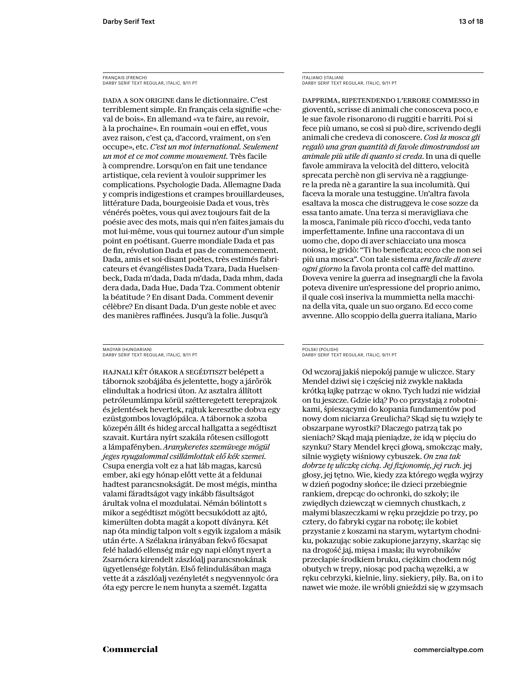FRANÇAIS (FRENCH) DARBY SERIF TEXT REGULAR, ITALIC, 9/11 PT

Dada a son origine dans le dictionnaire. C'est terriblement simple. En français cela signifie «cheval de bois». En allemand «va te faire, au revoir, à la prochaine». En roumain «oui en effet, vous avez raison, c'est ça, d'accord, vraiment, on s'en occupe», etc. *C'est un mot international. Seulement un mot et ce mot comme mouvement.* Très facile à comprendre. Lorsqu'on en fait une tendance artistique, cela revient à vouloir supprimer les complications. Psychologie Dada. Allemagne Dada y compris indigestions et crampes brouillardeuses, littérature Dada, bourgeoisie Dada et vous, très vénérés poètes, vous qui avez toujours fait de la poésie avec des mots, mais qui n'en faites jamais du mot lui-même, vous qui tournez autour d'un simple point en poétisant. Guerre mondiale Dada et pas de fin, révolution Dada et pas de commencement. Dada, amis et soi-disant poètes, très estimés fabricateurs et évangélistes Dada Tzara, Dada Huelsenbeck, Dada m'dada, Dada m'dada, Dada mhm, dada dera dada, Dada Hue, Dada Tza. Comment obtenir la béatitude ? En disant Dada. Comment devenir célèbre? En disant Dada. D'un geste noble et avec des manières raffinées. Jusqu'à la folie. Jusqu'à

MAGYAR (HUNGARIAN) DARBY SERIF TEXT REGULAR, ITALIC, 9/11 PT

Hajnali két órakor a segédtiszt belépett a tábornok szobájába és jelentette, hogy a járőrök elindultak a hodricsi úton. Az asztalra állított petróleumlámpa körül szétteregetett tereprajzok és jelentések hevertek, rajtuk keresztbe dobva egy ezüstgombos lovaglópálca. A tábornok a szoba közepén állt és hideg arccal hallgatta a segédtiszt szavait. Kurtára nyírt szakála rőtesen csillogott a lámpafényben. *Aranykeretes szemüvege mögül jeges nyugalommal csillámlottak elő kék szemei.* Csupa energia volt ez a hat láb magas, karcsú ember, aki egy hónap előtt vette át a feldunai hadtest parancsnokságát. De most mégis, mintha valami fáradtságot vagy inkább fásultságot árultak volna el mozdulatai. Némán bólintott s mikor a segédtiszt mögött becsukódott az ajtó, kimerülten dobta magát a kopott díványra. Két nap óta mindig talpon volt s egyik izgalom a másik után érte. A Szélakna irányában fekvő főcsapat felé haladó ellenség már egy napi előnyt nyert a Zsarnócra kirendelt zászlóalj parancsnokának ügyetlensége folytán. Első felindulásában maga vette át a zászlóalj vezényletét s negyvennyolc óra óta egy percre le nem hunyta a szemét. Izgatta

ITALIANO (ITALIAN) DARBY SERIF TEXT REGULAR, ITALIC, 9/11 PT

Dapprima, ripetendendo l'errore commesso in gioventù, scrisse di animali che conosceva poco, e le sue favole risonarono di ruggiti e barriti. Poi si fece più umano, se così si può dire, scrivendo degli animali che credeva di conoscere. *Così la mosca gli regalò una gran quantità di favole dimostrandosi un animale più utile di quanto si creda*. In una di quelle favole ammirava la velocità del dittero, velocità sprecata perchè non gli serviva nè a raggiungere la preda nè a garantire la sua incolumità. Qui faceva la morale una testuggine. Un'altra favola esaltava la mosca che distruggeva le cose sozze da essa tanto amate. Una terza si meravigliava che la mosca, l'animale più ricco d'occhi, veda tanto imperfettamente. Infine una raccontava di un uomo che, dopo di aver schiacciato una mosca noiosa, le gridò: "Ti ho beneficata; ecco che non sei più una mosca". Con tale sistema *era facile di avere ogni giorno* la favola pronta col caffè del mattino. Doveva venire la guerra ad insegnargli che la favola poteva divenire un'espressione del proprio animo, il quale così inseriva la mummietta nella macchina della vita, quale un suo organo. Ed ecco come avvenne. Allo scoppio della guerra italiana, Mario

#### POLSKI (POLISH) DARBY SERIF TEXT REGULAR, ITALIC, 9/11 PT

Od wczoraj jakiś niepokój panuje w uliczce. Stary Mendel dziwi się i częściej niż zwykle nakłada krótką łajkę patrząc w okno. Tych ludzi nie widział on tu jeszcze. Gdzie idą? Po co przystają z robotnikami, śpieszącymi do kopania fundamentów pod nowy dom niciarza Greulicha? Skąd się tu wzięły te obszarpane wyrostki? Dlaczego patrzą tak po sieniach? Skąd mają pieniądze, że idą w pięciu do szynku? Stary Mendel kręci głową, smokcząc mały, silnie wygięty wiśniowy cybuszek. *On zna tak dobrze tę uliczkę cichą. Jej fizjonomię, jej ruch.* jej głosy, jej tętno. Wie, kiedy zza którego węgła wyjrzy w dzień pogodny słońce; ile dzieci przebiegnie rankiem, drepcąc do ochronki, do szkoły; ile zwiędłych dziewcząt w ciemnych chustkach, z małymi blaszeczkami w ręku przejdzie po trzy, po cztery, do fabryki cygar na robotę; ile kobiet przystanie z koszami na starym, wytartym chodniku, pokazując sobie zakupione jarzyny, skarżąc się na drogość jaj, mięsa i masła; ilu wyrobników przecłapie środkiem bruku, ciężkim chodem nóg obutych w trepy, niosąc pod pachą węzełki, a w ręku cebrzyki, kielnie, liny. siekiery, piły. Ba, on i to nawet wie może. ile wróbli gnieździ się w gzymsach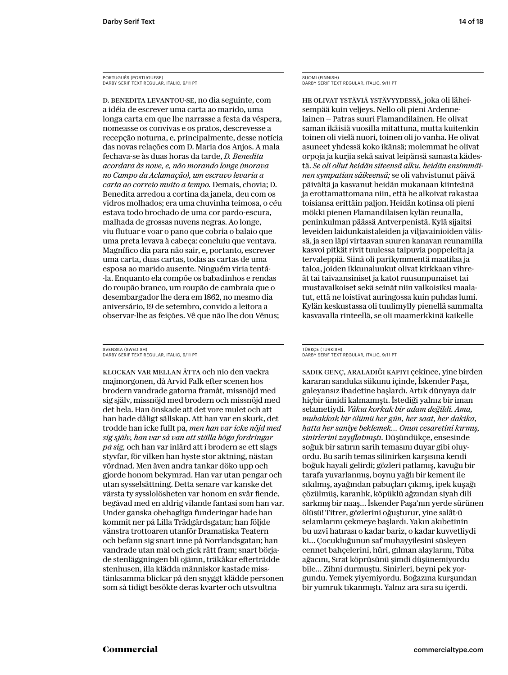PORTUGUÊS (PORTUGUESE) DARBY SERIF TEXT REGULAR, ITALIC, 9/11 PT

D. Benedita levantou-se, no dia seguinte, com a idéia de escrever uma carta ao marido, uma longa carta em que lhe narrasse a festa da véspera, nomeasse os convivas e os pratos, descrevesse a recepção noturna, e, principalmente, desse notícia das novas relações com D. Maria dos Anjos. A mala fechava-se às duas horas da tarde, *D. Benedita acordara às nove, e, não morando longe (morava no Campo da Aclamação), um escravo levaria a carta ao correio muito a tempo.* Demais, chovia; D. Benedita arredou a cortina da janela, deu com os vidros molhados; era uma chuvinha teimosa, o céu estava todo brochado de uma cor pardo-escura, malhada de grossas nuvens negras. Ao longe, viu flutuar e voar o pano que cobria o balaio que uma preta levava à cabeça: concluiu que ventava. Magnífico dia para não sair, e, portanto, escrever uma carta, duas cartas, todas as cartas de uma esposa ao marido ausente. Ninguém viria tentá- -la. Enquanto ela compõe os babadinhos e rendas do roupão branco, um roupão de cambraia que o desembargador lhe dera em 1862, no mesmo dia aniversário, 19 de setembro, convido a leitora a observar-lhe as feições. Vê que não lhe dou Vênus;

SVENSKA (SWEDISH) DARBY SERIF TEXT REGULAR, ITALIC, 9/11 PT

Klockan var mellan åtta och nio den vackra majmorgonen, då Arvid Falk efter scenen hos brodern vandrade gatorna framåt, missnöjd med sig själv, missnöjd med brodern och missnöjd med det hela. Han önskade att det vore mulet och att han hade dåligt sällskap. Att han var en skurk, det trodde han icke fullt på, *men han var icke nöjd med sig själv, han var så van att ställa höga fordringar på sig,* och han var inlärd att i brodern se ett slags styvfar, för vilken han hyste stor aktning, nästan vördnad. Men även andra tankar döko upp och gjorde honom bekymrad. Han var utan pengar och utan sysselsättning. Detta senare var kanske det värsta ty sysslolösheten var honom en svår fiende, begåvad med en aldrig vilande fantasi som han var. Under ganska obehagliga funderingar hade han kommit ner på Lilla Trädgårdsgatan; han följde vänstra trottoaren utanför Dramatiska Teatern och befann sig snart inne på Norrlandsgatan; han vandrade utan mål och gick rätt fram; snart började stenläggningen bli ojämn, träkåkar efterträdde stenhusen, illa klädda människor kastade misstänksamma blickar på den snyggt klädde personen som så tidigt besökte deras kvarter och utsvultna

SUOMI (FINNISH) DARBY SERIF TEXT REGULAR, ITALIC, 9/11 PT

He olivat ystäviä ystävyydessä, joka oli läheisempää kuin veljeys. Nello oli pieni Ardennelainen — Patras suuri Flamandilainen. He olivat saman ikäisiä vuosilla mitattuna, mutta kuitenkin toinen oli vielä nuori, toinen oli jo vanha. He olivat asuneet yhdessä koko ikänsä; molemmat he olivat orpoja ja kurjia sekä saivat leipänsä samasta kädestä. *Se oli ollut heidän siteensä alku, heidän ensimmäinen sympatian säikeensä;* se oli vahvistunut päivä päivältä ja kasvanut heidän mukanaan kiinteänä ja erottamattomana niin, että he alkoivat rakastaa toisiansa erittäin paljon. Heidän kotinsa oli pieni mökki pienen Flamandilaisen kylän reunalla, peninkulman päässä Antverpenistä. Kylä sijaitsi leveiden laidunkaistaleiden ja viljavainioiden välissä, ja sen läpi virtaavan suuren kanavan reunamilla kasvoi pitkät rivit tuulessa taipuvia poppeleita ja tervaleppiä. Siinä oli parikymmentä maatilaa ja taloa, joiden ikkunaluukut olivat kirkkaan vihreät tai taivaansiniset ja katot ruusunpunaiset tai mustavalkoiset sekä seinät niin valkoisiksi maalatut, että ne loistivat auringossa kuin puhdas lumi. Kylän keskustassa oli tuulimylly pienellä sammalta kasvavalla rinteellä, se oli maamerkkinä kaikelle

#### TÜRKÇE (TURKISH) DARBY SERIF TEXT REGULAR, ITALIC, 9/11 PT

Sadık genç, araladığı kapıyı çekince, yine birden kararan sanduka sükunu içinde, İskender Paşa, galeyansız ibadetine başlardı. Artık dünyaya dair hiçbir ümidi kalmamıştı. İstediği yalnız bir iman selametiydi. *Vâkıa korkak bir adam değildi. Ama, muhakkak bir ölümü her gün, her saat, her dakika, hatta her saniye beklemek… Onun cesaretini kırmış, sinirlerini zayıflatmıştı.* Düşündükçe, ensesinde soğuk bir satırın sarih temasını duyar gibi oluyordu. Bu sarih temas silinirken karşısına kendi boğuk hayali gelirdi; gözleri patlamış, kavuğu bir tarafa yuvarlanmış, boynu yağlı bir kement ile sıkılmış, ayağından pabuçları çıkmış, ipek kuşağı çözülmüş, karanlık, köpüklü ağzından siyah dili sarkmış bir naaş… İskender Paşa'nın yerde sürünen ölüsü! Titrer, gözlerini oğuşturur, yine salât-ü selamlarını çekmeye başlardı. Yakın akıbetinin bu uzvî hatırası o kadar bariz, o kadar kuvvetliydi ki… Çocukluğunun saf muhayyilesini süsleyen cennet bahçelerini, hûri, gılman alaylarını, Tûba ağacını, Sırat köprüsünü şimdi düşünemiyordu bile… Zihni durmuştu. Sinirleri, beyni pek yorgundu. Yemek yiyemiyordu. Boğazına kurşundan bir yumruk tıkanmıştı. Yalnız ara sıra su içerdi.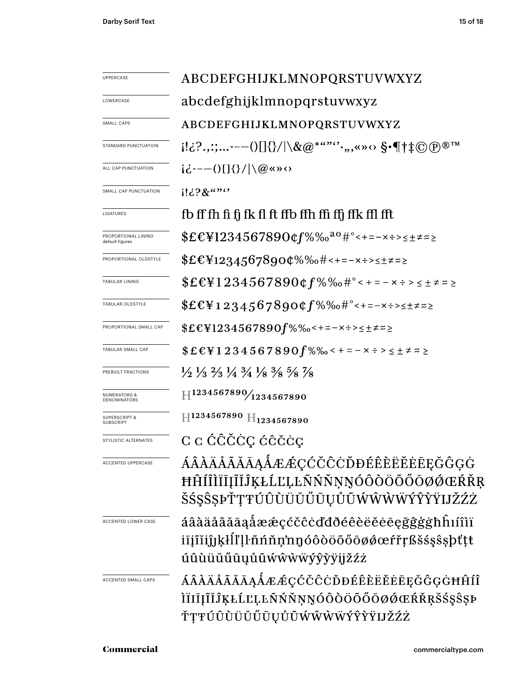| <b>UPPERCASE</b>                             | ABCDEFGHIJKLMNOPQRSTUVWXYZ                                                                                                    |  |  |  |  |
|----------------------------------------------|-------------------------------------------------------------------------------------------------------------------------------|--|--|--|--|
| LOWERCASE                                    | abcdefghijklmnopqrstuvwxyz                                                                                                    |  |  |  |  |
| SMALL CAPS                                   | ABCDEFGHIJKLMNOPQRSTUVWXYZ                                                                                                    |  |  |  |  |
| STANDARD PUNCTUATION                         | $[!a]^2$ .,:;---()[]{}/ \&@*""'',,,«» $\leftrightarrow$ \$ $\cdot\P\dagger\ddagger\odot\oplus^{\tiny\textcircled{\tiny{m}}}$  |  |  |  |  |
| ALL CAP PUNCTUATION                          | $i\dot{\zeta}$ ---()[]{}/ \@«»<>                                                                                              |  |  |  |  |
| SMALL CAP PUNCTUATION                        | $1!3?8$ $$                                                                                                                    |  |  |  |  |
| LIGATURES                                    | fb ff fh fi fj fk fl ft ffb ffh ffi ffj ffk ffl fft                                                                           |  |  |  |  |
| PROPORTIONAL LINING<br>default figures       | $EEY1234567890$ $Cf\%$ % $a^0$ $\#$ °<+=-x $\div$ >s $\pm$ $\neq$ $\approx$                                                   |  |  |  |  |
| PROPORTIONAL OLDSTYLE                        | $$EEY12345678900\%$ %+---x+><+=z                                                                                              |  |  |  |  |
| <b>TABULAR LINING</b>                        | $$EE41234567890$ $$6f$ % % $$e^e$ + = - x $\div$ > $\leq \pm \neq z$                                                          |  |  |  |  |
| TABULAR OLDSTYLE                             | $$EE412345678900f%\%o~#°<-=~x~>~t~z~>~$                                                                                       |  |  |  |  |
| PROPORTIONAL SMALL CAP                       | $$EEY1234567890f\%$ %-+=-x÷><±≠≈≥                                                                                             |  |  |  |  |
| TABULAR SMALL CAP                            | $$EEY1234567890f\%$ % < + = - x ÷ > < ± ≠ ≈ ≥                                                                                 |  |  |  |  |
| PREBUILT FRACTIONS                           | $\frac{1}{2}$ $\frac{1}{3}$ $\frac{2}{3}$ $\frac{1}{4}$ $\frac{3}{4}$ $\frac{1}{8}$ $\frac{3}{8}$ $\frac{5}{8}$ $\frac{7}{8}$ |  |  |  |  |
| <b>NUMERATORS &amp;</b><br>DENOMINATORS      | $\rm{H}^{1234567890}\!/_{1234567890}$                                                                                         |  |  |  |  |
| <b>SUPERSCRIPT &amp;</b><br><b>SUBSCRIPT</b> | $H$ 1234567890 $H$ <sub>1234567890</sub>                                                                                      |  |  |  |  |
| STYLISTIC ALTERNATES                         | C c ĆĈČĊÇ ćĉčċç                                                                                                               |  |  |  |  |
| <b>ACCENTED UPPERCASE</b>                    | ÁÂÀÄÅÃĂĀĄÅÆÆÇĆČĈÒĐÉÊÈËĔĖĒĘĞĜĢĠ<br>ĦĤÍÎÌÏĪĮĨĬĴĶŁĹĽĻĿÑŃŇŅŅÓÔÒÖŐŐŌØŐŒŔŘŖ<br>ŠŚŞŜŞÞŤŢŦÚÛÙÜŬŰŨŲŮŨŴŴŴŴŶŶŸIJŽŹŻ                      |  |  |  |  |
| <b>ACCENTED LOWER CASE</b>                   | áâàäåãããąåææçćčĉċďđðéêèëĕēęğĝģġħĥıíîìï<br>iījīĭijjķŀĺľļŀñńňņ'nŋóôòöőőōøøœŕřŗßšśşŝşþťtt<br>úûùüŭűūųůũẃŵẁẅýŷỳÿijžźż             |  |  |  |  |
| ACCENTED SMALL CAPS                          | ÁÂÀÄÅÃĂĀĄÁÆÆÇĆČĈĊĎĐÉÊÈËĔĖĒĘĞĜĢĠĦĤÍÎ<br>ÌÏIĪĮĨĬĴĶŁĹĽĻĿÑŃŇŅŊÓÔÒÖŐŐŌØŐŒŔŘŖŠŚŞŜŞÞ<br>ŤŢŦÚÛÙÜŬŰŪŲŮŨŴŴŴŴÝŶŸIJŽŹŻ                    |  |  |  |  |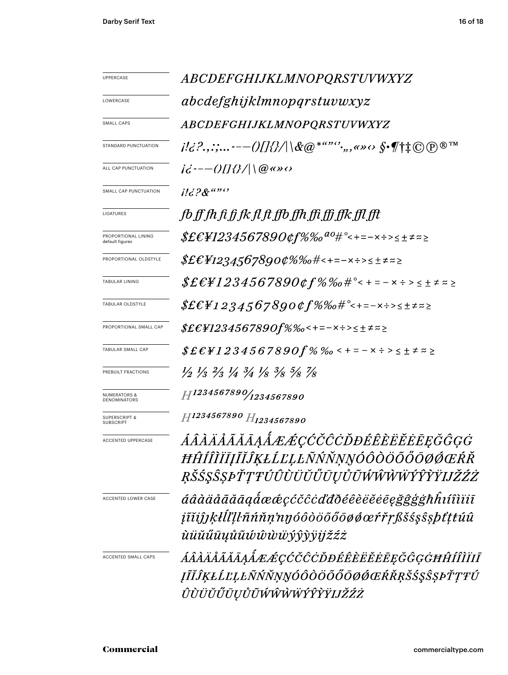| UPPERCASE                                                                                                                        | <i>ABCDEFGHIJKLMNOPQRSTUVWXYZ</i>                                                                                                                                                                                                                                                                                                                                                                               |  |  |  |  |  |
|----------------------------------------------------------------------------------------------------------------------------------|-----------------------------------------------------------------------------------------------------------------------------------------------------------------------------------------------------------------------------------------------------------------------------------------------------------------------------------------------------------------------------------------------------------------|--|--|--|--|--|
| LOWERCASE                                                                                                                        | abcdefghijklmnopqrstuvwxyz                                                                                                                                                                                                                                                                                                                                                                                      |  |  |  |  |  |
| <b>SMALL CAPS</b>                                                                                                                | <i>ABCDEFGHIJKLMNOPQRSTUVWXYZ</i>                                                                                                                                                                                                                                                                                                                                                                               |  |  |  |  |  |
| STANDARD PUNCTUATION                                                                                                             | $i!i \, ? \, . \, ; \,  \, -- \, // \, // \, \& \, @ \, ^{***'} \, . \, , \, \leftrightarrow \, \diamond \, \$ \cdot \varphi \dagger \ddagger \oplus \oplus \, \mathbb{R}^{\,\mathrm{TM}}$                                                                                                                                                                                                                      |  |  |  |  |  |
| ALL CAP PUNCTUATION                                                                                                              | $i\vec{c}$ :-- $\left(\left/ \right  \left\{2/\right  \right\}$ ( $@$ « » $\left\{ \cdot \right\}$                                                                                                                                                                                                                                                                                                              |  |  |  |  |  |
| <b>SMALL CAP PUNCTUATION</b>                                                                                                     | $11628$ $\cdots$                                                                                                                                                                                                                                                                                                                                                                                                |  |  |  |  |  |
| LIGATURES                                                                                                                        | fb ff fh fi fj fk fl ft ffb ffh ffi ffj ffk ffl fft                                                                                                                                                                                                                                                                                                                                                             |  |  |  |  |  |
| PROPORTIONAL LINING<br>default figures                                                                                           | $$ \pounds \pounds \pounds \pounds \pounds \pounds \pounds \pounds \pounds \pounds \pS$                                                                                                                                                                                                                                                                                                                         |  |  |  |  |  |
| PROPORTIONAL OLDSTYLE                                                                                                            | $$E\&H2345678900\%$ %o#<+=-x÷><±≠≈≥                                                                                                                                                                                                                                                                                                                                                                             |  |  |  |  |  |
| <b>TABULAR LINING</b>                                                                                                            |                                                                                                                                                                                                                                                                                                                                                                                                                 |  |  |  |  |  |
| TABULAR OLDSTYLE                                                                                                                 | $$ \pounds \pounds \pounds \pounds 1 \, 2.3 \, 4.5 \, 6 \, 7 \, 8 \, 9 \, 0 \, \pounds \pounds \p% \, \% \, \#^{\circ} \mbox{---}\, \mbox{---}\, \mbox{---}\, \mbox{---}\, \mbox{---}\, \mbox{---}\, \mbox{---}\, \mbox{---}\, \mbox{---}\, \mbox{---}\, \mbox{---}\, \mbox{---}\, \mbox{---}\, \mbox{---}\, \mbox{---}\, \mbox{---}\, \mbox{---}\, \mbox{---}\, \mbox{---}\, \mbox{---}\, \mbox{---}\, \mbox{$ |  |  |  |  |  |
| PROPORTIONAL SMALL CAP                                                                                                           | \$£€¥1234567890f%‰<+=−×÷>≤±≠≈≥                                                                                                                                                                                                                                                                                                                                                                                  |  |  |  |  |  |
| TABULAR SMALL CAP                                                                                                                | $$E\ell$ ¥1234567890 $f$ % ‰ < + = – × ÷ > < ± ≠ ≈ ≥                                                                                                                                                                                                                                                                                                                                                            |  |  |  |  |  |
| PREBUILT FRACTIONS                                                                                                               | $\frac{1}{2}$ $\frac{1}{3}$ $\frac{2}{3}$ $\frac{1}{4}$ $\frac{3}{4}$ $\frac{1}{8}$ $\frac{3}{8}$ $\frac{5}{8}$ $\frac{7}{8}$                                                                                                                                                                                                                                                                                   |  |  |  |  |  |
| <b>NUMERATORS &amp;</b><br>DENOMINATORS                                                                                          | $H^{1234567890}/_{1234567890}$                                                                                                                                                                                                                                                                                                                                                                                  |  |  |  |  |  |
| <b>SUPERSCRIPT &amp;</b><br><b>SUBSCRIPT</b>                                                                                     | H1234567890 H <sub>1234567890</sub>                                                                                                                                                                                                                                                                                                                                                                             |  |  |  |  |  |
| ACCENTED UPPERCASE                                                                                                               | ÁÂÀÄÅÃĂĀĄÅÆÆÇĆČĈÒĐÉÊÈËĔĔĒĘĞĜĢĠ<br>ĦĤÍÎÌĬĪĮĨĬĴĶŁĹĽĻĿÑŃŇŅŊÓÔÒÖŐŐŌØØŒŔŘ<br>ŖŠŚŞŜȘÞŤŢŦÚÛÙÜŬŰŨŲŮŨŴŴŴŴÝŶŶŸIJŽŹŻ                                                                                                                                                                                                                                                                                                       |  |  |  |  |  |
| ACCENTED LOWER CASE                                                                                                              | áâàäåãããąåææçćčĉcďđðéêèëĕēegğĝġġħĥıíîìïiī<br>įĩĭiĵjkŀĺľḷŀñńňṇ'nŋóôòöõőōøøœŕřŗßšśşŝşþťṭŧúû<br>ùüŭűūųůũŵŵẁẅýŷỳÿįjžźż                                                                                                                                                                                                                                                                                              |  |  |  |  |  |
| ÁÂÀÄÅÃĂĀĄÅÆÆÇĆČĈÒĐÉÊÈËËĒĘĞĜĢĠĦĤÍÎÌÏIĪ<br>ACCENTED SMALL CAPS<br>ĮĨĬĴĶŁĹĽĻĿÑŃŇŅŊÓÔÒÖÕŐŌØØŒŔŘŖŠŚŞŜŞÞŤŢŦÚ<br>ÛÙÜŬŰŪŲŮŨŴŴŴŴÝŶŶŸIJŽŹŻ |                                                                                                                                                                                                                                                                                                                                                                                                                 |  |  |  |  |  |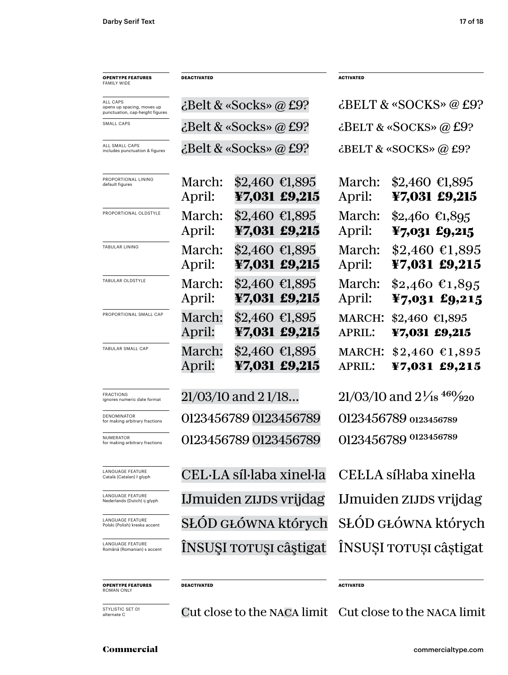| <b>OPENTYPE FEATURES</b><br>FAMILY WIDE                                   | DEACTIVATED      |                                                              | <b>ACTIVATED</b>                                  |                                              |  |
|---------------------------------------------------------------------------|------------------|--------------------------------------------------------------|---------------------------------------------------|----------------------------------------------|--|
| ALL CAPS<br>opens up spacing, moves up<br>punctuation, cap-height figures |                  | ¿Belt & «Socks» @ £9?                                        | $\text{dBELT}$ & «SOCKS» @ £9?                    |                                              |  |
| SMALL CAPS                                                                |                  | $\mathcal{L}$ Belt & «Socks» @ £9?                           | $\text{c}$ BELT & «SOCKS» @ £9?                   |                                              |  |
| ALL SMALL CAPS<br>includes punctuation & figures                          |                  | $\mathcal{L}$ Belt & «Socks» @ £9?                           | ¿BELT & «SOCKS» @ £9?                             |                                              |  |
| PROPORTIONAL LINING<br>default figures                                    | March:<br>April: | $$2,460 \text{ } \text{\textsterling}1,895$<br>¥7,031 £9,215 | March:<br>April:                                  | $$2,460 \text{ } \in 1,895$<br>¥7,031 £9,215 |  |
| PROPORTIONAL OLDSTYLE                                                     | March:<br>April: | $$2,460$ €1,895<br>¥7,031 £9,215                             | March:<br>April:                                  | $$2,460$ €1,895<br>¥7,031 £9,215             |  |
| TABULAR LINING                                                            | March:<br>April: | $$2,460$ €1,895<br>¥7,031 £9,215                             | March:<br>April:                                  | $$2,460$ €1,895<br>¥7,031 £9,215             |  |
| TABULAR OLDSTYLE                                                          | March:<br>April: | $$2,460$ €1,895<br>¥7,031 £9,215                             | March:<br>April:                                  | $$2,460$ €1,895<br>¥7,031 £9,215             |  |
| PROPORTIONAL SMALL CAP                                                    | March:<br>April: | $$2,460 \; \text{£}1,895$<br>¥7,031 £9,215                   | <b>MARCH:</b><br><b>APRIL:</b>                    | $$2,460$ €1,895<br>¥7,031 £9,215             |  |
| TABULAR SMALL CAP                                                         | March:<br>April: | $$2,460$ €1,895<br>¥7,031 £9,215                             | <b>MARCH:</b><br><b>APRIL:</b>                    | $$2,460$ $$1,895$<br>¥7,031 £9,215           |  |
| <b>FRACTIONS</b><br>ignores numeric date format                           |                  | 21/03/10 and 21/18                                           | $21/03/10$ and $2\frac{1}{18}$ 46% $\frac{9}{20}$ |                                              |  |
| DENOMINATOR<br>for making arbitrary fractions                             |                  | 0123456789 0123456789                                        | 0123456789 0123456789                             |                                              |  |
| NUMERATOR<br>for making arbitrary fractions                               |                  | 0123456789 0123456789                                        | 0123456789 0123456789                             |                                              |  |
| LANGUAGE FEATURE<br>Català (Catalan) ŀ glyph                              |                  | CEL·LA síl·laba xinel·la                                     | CELLA síl·laba xinel·la                           |                                              |  |
| LANGUAGE FEATURE<br>Nederlands (Dutch) ij glyph                           |                  | IJmuiden zijps vrijdag                                       | IJmuiden zijns vrijdag                            |                                              |  |
| LANGUAGE FEATURE<br>Polski (Polish) kreska accent                         |                  | SŁÓD GŁÓWNA których                                          | SŁÓD GŁÓWNA których                               |                                              |  |
| LANGUAGE FEATURE<br>Română (Romanian) s accent                            |                  | INSUŞI TOTUŞI câştigat                                       | INSUSI TOTUȘI câștigat                            |                                              |  |
| <b>OPENTYPE FEATURES</b><br>ROMAN ONLY                                    | DEACTIVATED      |                                                              | <b>ACTIVATED</b>                                  |                                              |  |

STYLISTIC SET 01<br>alternate C

Cut close to the NACA limit Cut close to the NACA limit